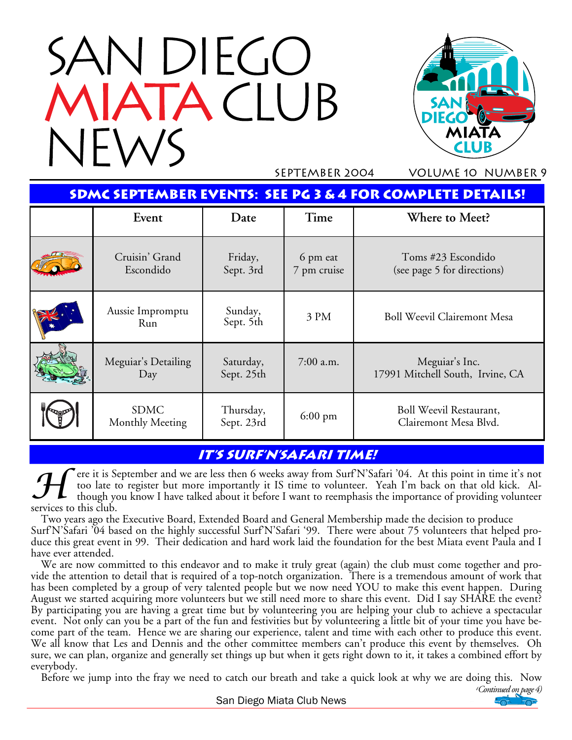



September 2004 Volume 10 number 9

# **sdmc september Events: See Pg 3 & 4 for complete details!**

| Event                          | Date                    | Time                    | Where to Meet?                                     |
|--------------------------------|-------------------------|-------------------------|----------------------------------------------------|
| Cruisin' Grand<br>Escondido    | Friday,<br>Sept. 3rd    | 6 pm eat<br>7 pm cruise | Toms #23 Escondido<br>(see page 5 for directions)  |
| Aussie Impromptu<br>Run        | Sunday,<br>Sept. 5th    | 3 PM                    | <b>Boll Weevil Clairemont Mesa</b>                 |
| Meguiar's Detailing<br>Day     | Saturday,<br>Sept. 25th | $7:00$ a.m.             | Meguiar's Inc.<br>17991 Mitchell South, Irvine, CA |
| <b>SDMC</b><br>Monthly Meeting | Thursday,<br>Sept. 23rd | $6:00 \text{ pm}$       | Boll Weevil Restaurant,<br>Clairemont Mesa Blvd.   |

### **It's Surf'N'Safari Time!**

The ere it is September and we are less then 6 weeks away from Surf'N'Safari '04. At this point in time it's not<br>too late to register but more importantly it IS time to volunteer. Yeah I'm back on that old kick. Al-<br>though too late to register but more importantly it IS time to volunteer. Yeah I'm back on that old kick. Although you know I have talked about it before I want to reemphasis the importance of providing volunteer services to this club.

 Two years ago the Executive Board, Extended Board and General Membership made the decision to produce Surf'N'Safari '04 based on the highly successful Surf'N'Safari '99. There were about 75 volunteers that helped produce this great event in 99. Their dedication and hard work laid the foundation for the best Miata event Paula and I have ever attended.

 We are now committed to this endeavor and to make it truly great (again) the club must come together and provide the attention to detail that is required of a top-notch organization. There is a tremendous amount of work that has been completed by a group of very talented people but we now need YOU to make this event happen. During August we started acquiring more volunteers but we still need more to share this event. Did I say SHARE the event? By participating you are having a great time but by volunteering you are helping your club to achieve a spectacular event. Not only can you be a part of the fun and festivities but by volunteering a little bit of your time you have become part of the team. Hence we are sharing our experience, talent and time with each other to produce this event. We all know that Les and Dennis and the other committee members can't produce this event by themselves. Oh sure, we can plan, organize and generally set things up but when it gets right down to it, it takes a combined effort by everybody.

Before we jump into the fray we need to catch our breath and take a quick look at why we are doing this. Now

*(Continued on page 4)* $\overline{\bullet}$ <del>Jn 200</del>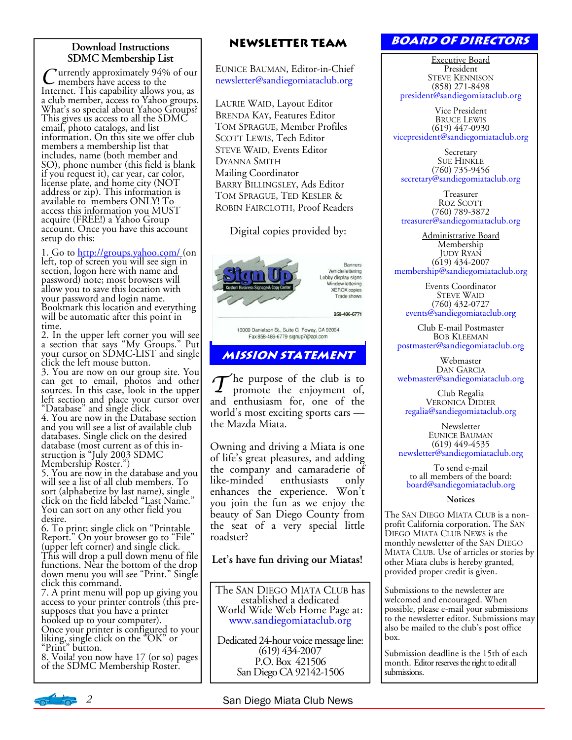#### **Download Instructions SDMC Membership List**

C urrently approximately 94% of our<br>Internet. This capability allows you, as a club member, access to Yahoo groups. What's so special about Yahoo Groups? This gives us access to all the SDMC email, photo catalogs, and list information. On this site we offer club members a membership list that includes, name (both member and SO), phone number (this field is blank if you request it), car year, car color, license plate, and home city (NOT address or zip). This information is available to members ONLY! To access this information you MUST acquire (FREE!) a Yahoo Group account. Once you have this account setup do this:

1. Go to http://groups.yahoo.com/ (on left, top of screen you will see sign in section, logon here with name and password) note; most browsers will allow you to save this location with your password and login name. Bookmark this location and everything will be automatic after this point in time.

2. In the upper left corner you will see a section that says "My Groups." Put your cursor on SDMC-LIST and single click the left mouse button.

3. You are now on our group site. You can get to email, photos and other sources. In this case, look in the upper left section and place your cursor over "Database" and single click.

4. You are now in the Database section and you will see a list of available club databases. Single click on the desired database (most current as of this instruction is "July 2003 SDMC Membership Roster.")

5. You are now in the database and you will see a list of all club members. To sort (alphabetize by last name), single click on the field labeled "Last Name." You can sort on any other field you desire.

6. To print; single click on "Printable Report." On your browser go to "File" (upper left corner) and single click. This will drop a pull down menu of file functions. Near the bottom of the drop down menu you will see "Print." Single click this command.

7. A print menu will pop up giving you access to your printer controls (this presupposes that you have a printer hooked up to your computer).

Once your printer is configured to your liking, single click on the "OK" or "Print" button.

8. Voila! you now have 17 (or so) pages of the SDMC Membership Roster.

#### **Newsletter Team**

EUNICE BAUMAN, Editor-in-Chief newsletter@sandiegomiataclub.org

LAURIE WAID, Layout Editor BRENDA KAY, Features Editor TOM SPRAGUE, Member Profiles SCOTT LEWIS, Tech Editor STEVE WAID, Events Editor DYANNA SMITH Mailing Coordinator BARRY BILLINGSLEY, Ads Editor TOM SPRAGUE, TED KESLER & ROBIN FAIRCLOTH, Proof Readers

Digital copies provided by:

Banners

Trade shows 858-486-6771



13000 Danielson St., Suite G Poway, CA 92064 Fax 858-486-6779 signup7@aol.com

#### **Mission statement**

 $\mathcal{T}$  he purpose of the club is to promote the enjoyment of, and enthusiasm for, one of the world's most exciting sports cars the Mazda Miata.

Owning and driving a Miata is one of life's great pleasures, and adding the company and camaraderie of like-minded enthusiasts only enhances the experience. Won't you join the fun as we enjoy the beauty of San Diego County from the seat of a very special little roadster?

#### **Let's have fun driving our Miatas!**

The SAN DIEGO MIATA CLUB has established a dedicated World Wide Web Home Page at: www.sandiegomiataclub.org

Dedicated 24-hour voice message line: (619) 434-2007 P.O. Box 421506 San Diego CA 92142-1506

#### **Board of Directors**

Executive Board President STEVE KENNISON (858) 271-8498 president@sandiegomiataclub.org

Vice President BRUCE LEWIS (619) 447-0930 vicepresident@sandiegomiataclub.org

**Secretary** SUE HINKLE (760) 735-9456 secretary@sandiegomiataclub.org

Treasurer ROZ SCOTT (760) 789-3872 treasurer@sandiegomiataclub.org

Administrative Board Membership JUDY RYAN (619) 434-2007 membership@sandiegomiataclub.org

Events Coordinator STEVE WAID (760) 432-0727

events@sandiegomiataclub.org

Club E-mail Postmaster BOB KLEEMAN postmaster@sandiegomiataclub.org

Webmaster DAN GARCIA webmaster@sandiegomiataclub.org

Club Regalia<br>VERONICA DIDIER regalia@sandiegomiataclub.org

Newsletter EUNICE BAUMAN (619) 449-4535 newsletter@sandiegomiataclub.org

To send e-mail to all members of the board: board@sandiegomiataclub.org

#### **Notices**

The SAN DIEGO MIATA CLUB is a nonprofit California corporation. The SAN DIEGO MIATA CLUB NEWS is the monthly newsletter of the SAN DIEGO MIATA CLUB. Use of articles or stories by other Miata clubs is hereby granted, provided proper credit is given.

Submissions to the newsletter are welcomed and encouraged. When possible, please e-mail your submissions to the newsletter editor. Submissions may also be mailed to the club's post office box.

Submission deadline is the 15th of each month. Editor reserves the right to edit all submissions.

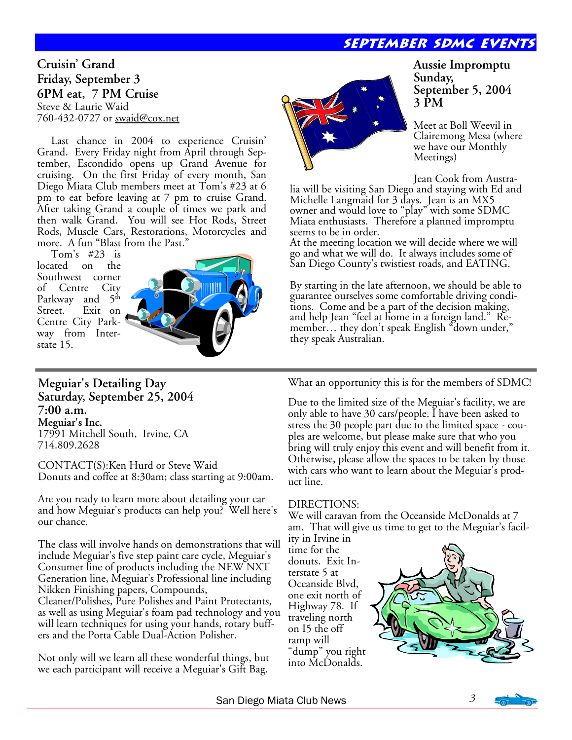## **September sdmc Events**

#### **Cruisin' Grand Friday, September 3 6PM eat, 7 PM Cruise** Steve & Laurie Waid 760-432-0727 or <u>swaid@cox.net</u>

 Last chance in 2004 to experience Cruisin' Grand. Every Friday night from April through September, Escondido opens up Grand Avenue for cruising. On the first Friday of every month, San Diego Miata Club members meet at Tom's #23 at 6 pm to eat before leaving at 7 pm to cruise Grand. After taking Grand a couple of times we park and then walk Grand. You will see Hot Rods, Street Rods, Muscle Cars, Restorations, Motorcycles and more. A fun "Blast from the Past."

 Tom's #23 is located on the Southwest corner<br>of Centre City of Centre Parkway and 5<sup>th</sup> Street. Exit on Centre City Parkway from Interstate 15.





**Aussie Impromptu Sunday, September 5, 2004 3 PM** 

Meet at Boll Weevil in Clairemong Mesa (where we have our Monthly Meetings)

Jean Cook from Australia will be visiting San Diego and staying with Ed and owner and would love to "play" with some SDMC Miata enthusiasts. Therefore a planned impromptu seems to be in order.

At the meeting location we will decide where we will go and what we will do. It always includes some of San Diego County's twistiest roads, and EATING.

By starting in the late afternoon, we should be able to guarantee ourselves some comfortable driving conditions. Come and be a part of the decision making, and help Jean "feel at home in a foreign land." Remember… they don't speak English "down under," they speak Australian.

**Meguiar's Detailing Day Saturday, September 25, 2004 7:00 a.m. Meguiar's Inc.**  17991 Mitchell South, Irvine, CA 714.809.2628

CONTACT(S):Ken Hurd or Steve Waid Donuts and coffee at 8:30am; class starting at 9:00am.

Are you ready to learn more about detailing your car and how Meguiar's products can help you? Well here's our chance.

The class will involve hands on demonstrations that will include Meguiar's five step paint care cycle, Meguiar's Consumer line of products including the NEW NXT Generation line, Meguiar's Professional line including Nikken Finishing papers, Compounds,

Cleaner/Polishes, Pure Polishes and Paint Protectants, as well as using Meguiar's foam pad technology and you will learn techniques for using your hands, rotary buffers and the Porta Cable Dual-Action Polisher.

Not only will we learn all these wonderful things, but we each participant will receive a Meguiar's Gift Bag.

What an opportunity this is for the members of SDMC!

Due to the limited size of the Meguiar's facility, we are only able to have 30 cars/people. I have been asked to stress the 30 people part due to the limited space - couples are welcome, but please make sure that who you bring will truly enjoy this event and will benefit from it. Otherwise, please allow the spaces to be taken by those with cars who want to learn about the Meguiar's product line.

#### DIRECTIONS:

We will caravan from the Oceanside McDonalds at 7 am. That will give us time to get to the Meguiar's facility in Irvine in

time for the donuts. Exit Interstate 5 at Oceanside Blvd, one exit north of Highway 78. If traveling north on I5 the off ramp will "dump" you right into McDonalds.



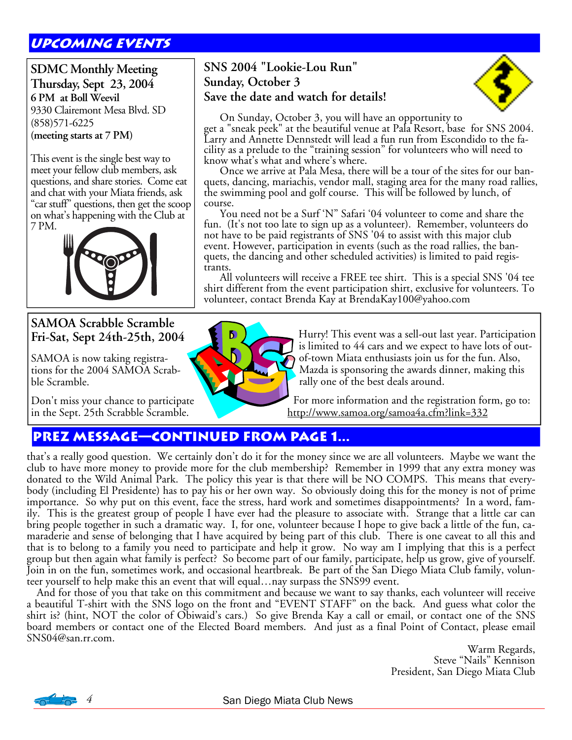# **Upcoming Events**

**SDMC Monthly Meeting Thursday, Sept 23, 2004 6 PM at Boll Weevil**  9330 Clairemont Mesa Blvd. SD (858)571-6225 **(meeting starts at 7 PM)** 

This event is the single best way to meet your fellow club members, ask questions, and share stories. Come eat and chat with your Miata friends, ask "car stuff" questions, then get the scoop on what's happening with the Club at 7 PM.



### **SAMOA Scrabble Scramble Fri-Sat, Sept 24th-25th, 2004**

SAMOA is now taking registrations for the 2004 SAMOA Scrabble Scramble.

Don't miss your chance to participate in the Sept. 25th Scrabble Scramble.

### **SNS 2004 "Lookie-Lou Run" Sunday, October 3 Save the date and watch for details!**



 On Sunday, October 3, you will have an opportunity to get a "sneak peek" at the beautiful venue at Pala Resort, base for SNS 2004. Larry and Annette Dennstedt will lead a fun run from Escondido to the facility as a prelude to the "training session" for volunteers who will need to know what's what and where's where.

 Once we arrive at Pala Mesa, there will be a tour of the sites for our banquets, dancing, mariachis, vendor mall, staging area for the many road rallies, the swimming pool and golf course. This will be followed by lunch, of course.

 You need not be a Surf 'N" Safari '04 volunteer to come and share the fun. (It's not too late to sign up as a volunteer). Remember, volunteers do not have to be paid registrants of SNS '04 to assist with this major club<br>event. However, participation in events (such as the road rallies, the banquets, the dancing and other scheduled activities) is limited to paid registrants.

 All volunteers will receive a FREE tee shirt. This is a special SNS '04 tee shirt different from the event participation shirt, exclusive for volunteers. To volunteer, contact Brenda Kay at BrendaKay100@yahoo.com



Hurry! This event was a sell-out last year. Participation is limited to 44 cars and we expect to have lots of outof-town Miata enthusiasts join us for the fun. Also, Mazda is sponsoring the awards dinner, making this rally one of the best deals around.

For more information and the registration form, go to: http://www.samoa.org/samoa4a.cfm?link=332

### **Prez Message—continued from page 1...**

that's a really good question. We certainly don't do it for the money since we are all volunteers. Maybe we want the club to have more money to provide more for the club membership? Remember in 1999 that any extra money was donated to the Wild Animal Park. The policy this year is that there will be NO COMPS. This means that everybody (including El Presidente) has to pay his or her own way. So obviously doing this for the money is not of prime importance. So why put on this event, face the stress, hard work and sometimes disappointments? In a word, family. This is the greatest group of people I have ever had the pleasure to associate with. Strange that a little car can bring people together in such a dramatic way. I, for one, volunteer because I hope to give back a little of the fun, camaraderie and sense of belonging that I have acquired by being part of this club. There is one caveat to all this and that is to belong to a family you need to participate and help it grow. No way am I implying that this is a perfect group but then again what family is perfect? So become part of our family, participate, help us grow, give of yourself. Join in on the fun, sometimes work, and occasional heartbreak. Be part of the San Diego Miata Club family, volunteer yourself to help make this an event that will equal…nay surpass the SNS99 event.

 And for those of you that take on this commitment and because we want to say thanks, each volunteer will receive a beautiful T-shirt with the SNS logo on the front and "EVENT STAFF" on the back. And guess what color the shirt is? (hint, NOT the color of Obiwaid's cars.) So give Brenda Kay a call or email, or contact one of the SNS board members or contact one of the Elected Board members. And just as a final Point of Contact, please email SNS04@san.rr.com.

Warm Regards, Steve "Nails" Kennison President, San Diego Miata Club

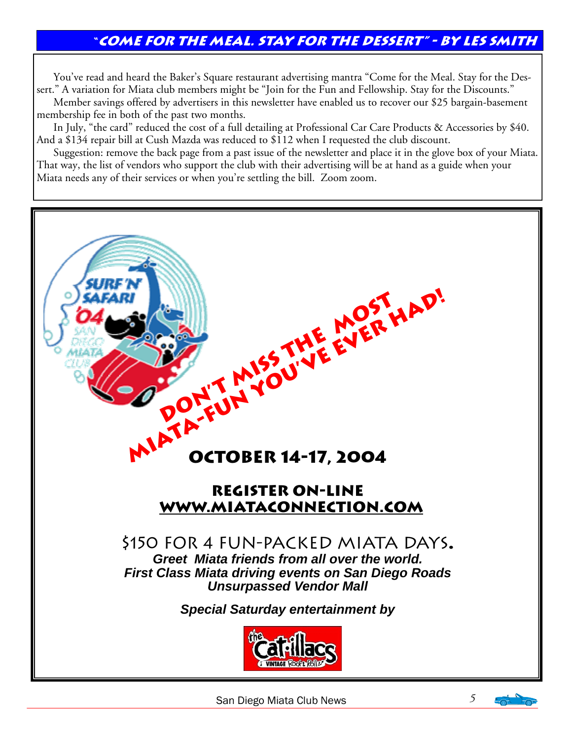### **"Come for the Meal. Stay for the Dessert" - by les smith**

You've read and heard the Baker's Square restaurant advertising mantra "Come for the Meal. Stay for the Dessert." A variation for Miata club members might be "Join for the Fun and Fellowship. Stay for the Discounts."

Member savings offered by advertisers in this newsletter have enabled us to recover our \$25 bargain-basement membership fee in both of the past two months.

In July, "the card" reduced the cost of a full detailing at Professional Car Care Products & Accessories by \$40. And a \$134 repair bill at Cush Mazda was reduced to \$112 when I requested the club discount.

Suggestion: remove the back page from a past issue of the newsletter and place it in the glove box of your Miata. That way, the list of vendors who support the club with their advertising will be at hand as a guide when your Miata needs any of their services or when you're settling the bill. Zoom zoom.



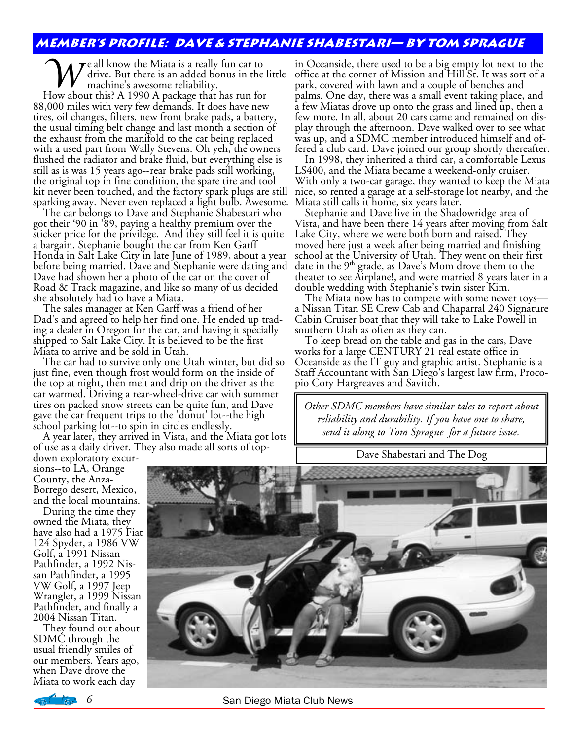#### **Member's profile: Dave & Stephanie Shabestari— by tom Sprague**

W e all know the Miata is a really fun car to<br>machine's awesome reliability.<br>How shout this A 1990 A peckeds that has gun for drive. But there is an added bonus in the little **Follow** machine's awesome reliability.<br>How about this? A 1990 A package that has run for 88,000 miles with very few demands. It does have new<br>tires, oil changes, filters, new front brake pads, a battery, the usual timing belt change and last month a section of the exhaust from the manifold to the cat being replaced with a used part from Wally Stevens. Oh yeh, the owners flushed the radiator and brake fluid, but everything else is still as is was 15 years ago--rear brake pads still working, the original top in fine condition, the spare tire and tool kit never been touched, and the factory spark plugs are still

sparking away. Never even replaced a light bulb. Awesome.<br>The car belongs to Dave and Stephanie Shabestari who<br>got their '90 in '89, paying a healthy premium over the<br>sticker price for the privilege. And they still feel it before being married. Dave and Stephanie were dating and<br>Dave had shown her a photo of the car on the cover of Road & Track magazine, and like so many of us decided she absolutely had to have a Miata.

The sales manager at Ken Garff was a friend of her Dad's and agreed to help her find one. He ended up trad- ing a dealer in Oregon for the car, and having it specially shipped to Salt Lake City. It is believed to be the first Miata to arrive and be sold in Utah.

The car had to survive only one Utah winter, but did so just fine, even though frost would form on the inside of the top at night, then melt and drip on the driver as the car warmed. Driving a rear-wheel-drive car with summer<br>tires on packed snow streets can be quite fun, and Dave gave the car frequent trips to the 'donut' lot--the high school parking lot--to spin in circles endlessly.

A year later, they arrived in Vista, and the Miata got lots of use as a daily driver. They also made all sorts of top-

in Oceanside, there used to be a big empty lot next to the office at the corner of Mission and Hill St. It was sort of a park, covered with lawn and a couple of benches and palms. One day, there was a small event taking place, and a few Miatas drove up onto the grass and lined up, then a few more. In all, about 20 cars came and remained on display through the afternoon. Dave walked over to see what was up, and a SDMC member introduced himself and of-

fered a club card. Dave joined our group shortly thereafter. In 1998, they inherited a third car, a comfortable Lexus With only a two-car garage, they wanted to keep the Miata nice, so rented a garage at a self-storage lot nearby, and the Miata still calls it home, six years later.

Stephanie and Dave live in the Shadowridge area of Vista, and have been there 14 years after moving from Salt Lake City, where we were both born and raised. They moved here just a week after being married and finishing school at the University of Utah. They went on their first<br>date in the  $9<sup>th</sup>$  grade, as Dave's Mom drove them to the theater to see Airplane!, and were married 8 years later in a double wedding with Stephanie's twin sister Kim.

The Miata now has to compete with some newer toys—<br>a Nissan Titan SE Crew Cab and Chaparral 240 Signature Cabin Cruiser boat that they will take to Lake Powell in<br>southern Utah as often as they can.<br>To keep bread on the table and gas in the cars, Dave<br>works for a large CENTURY 21 real estate office in

Oceanside as the IT guy and graphic artist. Stephanie is a Staff Accountant with San Diego's largest law firm, Proco- pio Cory Hargreaves and Savitch.

*Other SDMC members have similar tales to report about reliability and durability. If you have one to share, send it along to Tom Sprague for a future issue.* 

Dave Shabestari and The Dog

down exploratory excursions--to LA, Orange County, the Anza-Borrego desert, Mexico, and the local mountains.

During the time they owned the Miata, they have also had a 1975 Fiat 124 Spyder, a 1986 VW Golf, a 1991 Nissan Pathfinder, a 1992 Nissan Pathfinder, a 1995 VW Golf, a 1997 Jeep Wrangler, a 1999 Nissan Pathfinder, and finally a 2004 Nissan Titan.

They found out about SDMC through the usual friendly smiles of our members. Years ago, when Dave drove the Miata to work each day



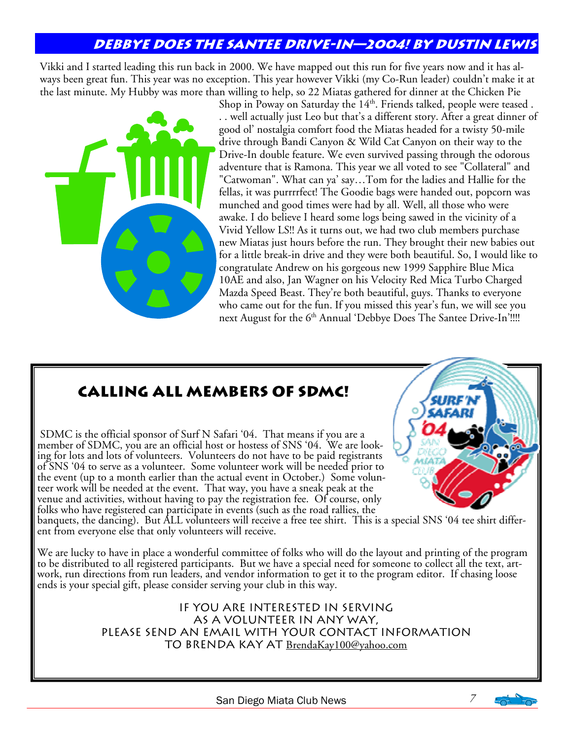## **Debbye does the santee drive-in—2004! By dustin lewis**

Vikki and I started leading this run back in 2000. We have mapped out this run for five years now and it has always been great fun. This year was no exception. This year however Vikki (my Co-Run leader) couldn't make it at the last minute. My Hubby was more than willing to help, so 22 Miatas gathered for dinner at the Chicken Pie



Shop in Poway on Saturday the  $14<sup>th</sup>$ . Friends talked, people were teased. . . well actually just Leo but that's a different story. After a great dinner of good ol' nostalgia comfort food the Miatas headed for a twisty 50-mile drive through Bandi Canyon & Wild Cat Canyon on their way to the Drive-In double feature. We even survived passing through the odorous adventure that is Ramona. This year we all voted to see "Collateral" and "Catwoman". What can ya' say…Tom for the ladies and Hallie for the fellas, it was purrrrfect! The Goodie bags were handed out, popcorn was munched and good times were had by all. Well, all those who were awake. I do believe I heard some logs being sawed in the vicinity of a Vivid Yellow LS!! As it turns out, we had two club members purchase new Miatas just hours before the run. They brought their new babies out for a little break-in drive and they were both beautiful. So, I would like to congratulate Andrew on his gorgeous new 1999 Sapphire Blue Mica 10AE and also, Jan Wagner on his Velocity Red Mica Turbo Charged Mazda Speed Beast. They're both beautiful, guys. Thanks to everyone who came out for the fun. If you missed this year's fun, we will see you next August for the 6<sup>th</sup> Annual 'Debbye Does The Santee Drive-In'!!!!

### **Calling all Members of SDMC!**

 SDMC is the official sponsor of Surf N Safari '04. That means if you are a member of SDMC, you are an official host or hostess of SNS '04. We are looking for lots and lots of volunteers. Volunteers do not have to be paid registrants of SNS '04 to serve as a volunteer. Some volunteer work will be needed prior to the event (up to a month earlier than the actual event in October.) Some volun-<br>teer work will be needed at the event. That way, you have a sneak peak at the venue and activities, without having to pay the registration fee. Of course, only<br>folks who have registered can participate in events (such as the road rallies, the<br>banquets, the dancing). But ALL volunteers will receive a



ent from everyone else that only volunteers will receive.

We are lucky to have in place a wonderful committee of folks who will do the layout and printing of the program<br>to be distributed to all registered participants. But we have a special need for someone to collect all the te

If you are interested in serving as a volunteer in any way, please send an email with your contact information TO BRENDA KAY AT BrendaKay100@yahoo.com

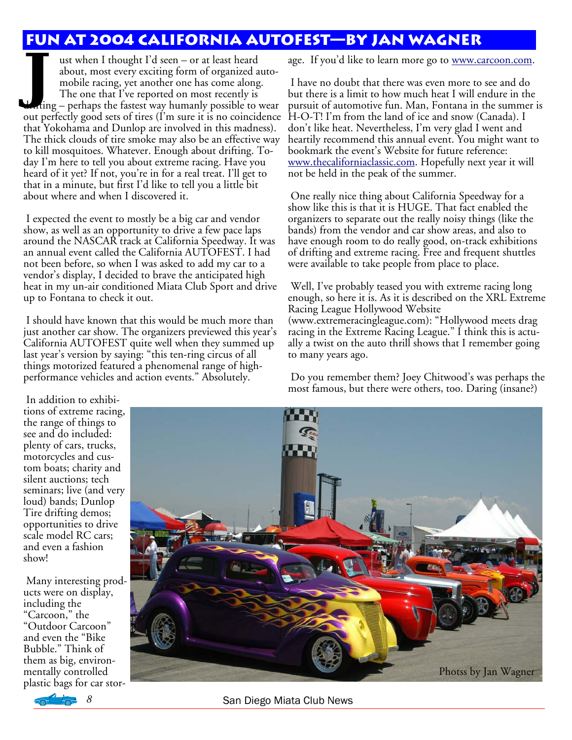# **Fun at 2004 California AUTOFEST—by Jan Wagner**

ust when I thought I'd seen – or at least heard<br>about, most every exciting form of organized a<br>mobile racing, yet another one has come along<br>The one that I've reported on most recently is<br>drifting – perhaps the fastest way about, most every exciting form of organized automobile racing, yet another one has come along. The one that I've reported on most recently is drifting – perhaps the fastest way humanly possible to wear out perfectly good sets of tires (I'm sure it is no coincidence that Yokohama and Dunlop are involved in this madness). The thick clouds of tire smoke may also be an effective way to kill mosquitoes. Whatever. Enough about drifting. Today I'm here to tell you about extreme racing. Have you heard of it yet? If not, you're in for a real treat. I'll get to that in a minute, but first I'd like to tell you a little bit about where and when I discovered it.

 I expected the event to mostly be a big car and vendor show, as well as an opportunity to drive a few pace laps around the NASCAR track at California Speedway. It was an annual event called the California AUTOFEST. I had not been before, so when I was asked to add my car to a vendor's display, I decided to brave the anticipated high heat in my un-air conditioned Miata Club Sport and drive up to Fontana to check it out.

 I should have known that this would be much more than just another car show. The organizers previewed this year's California AUTOFEST quite well when they summed up last year's version by saying: "this ten-ring circus of all things motorized featured a phenomenal range of highperformance vehicles and action events." Absolutely.

age. If you'd like to learn more go to www.carcoon.com.

 I have no doubt that there was even more to see and do but there is a limit to how much heat I will endure in the pursuit of automotive fun. Man, Fontana in the summer is H-O-T! I'm from the land of ice and snow (Canada). I don't like heat. Nevertheless, I'm very glad I went and heartily recommend this annual event. You might want to bookmark the event's Website for future reference: www.thecaliforniaclassic.com. Hopefully next year it will not be held in the peak of the summer.

 One really nice thing about California Speedway for a show like this is that it is HUGE. That fact enabled the organizers to separate out the really noisy things (like the bands) from the vendor and car show areas, and also to have enough room to do really good, on-track exhibitions of drifting and extreme racing. Free and frequent shuttles were available to take people from place to place.

 Well, I've probably teased you with extreme racing long enough, so here it is. As it is described on the XRL Extreme Racing League Hollywood Website (www.extremeracingleague.com): "Hollywood meets drag racing in the Extreme Racing League." I think this is actually a twist on the auto thrill shows that I remember going to many years ago.

 Do you remember them? Joey Chitwood's was perhaps the most famous, but there were others, too. Daring (insane?)

 In addition to exhibitions of extreme racing, the range of things to see and do included: plenty of cars, trucks, motorcycles and custom boats; charity and silent auctions; tech seminars; live (and very loud) bands; Dunlop Tire drifting demos; opportunities to drive scale model RC cars; and even a fashion show!

 Many interesting products were on display, including the "Carcoon," the "Outdoor Carcoon" and even the "Bike Bubble." Think of them as big, environmentally controlled plastic bags for car stor-



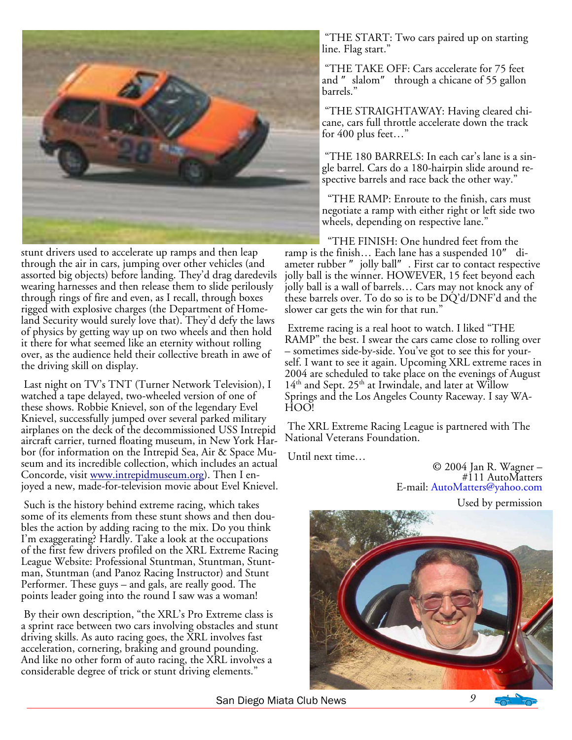

stunt drivers used to accelerate up ramps and then leap through the air in cars, jumping over other vehicles (and assorted big objects) before landing. They'd drag daredevils wearing harnesses and then release them to slide perilously through rings of fire and even, as I recall, through boxes rigged with explosive charges (the Department of Homeland Security would surely love that). They'd defy the laws of physics by getting way up on two wheels and then hold it there for what seemed like an eternity without rolling over, as the audience held their collective breath in awe of the driving skill on display.

 Last night on TV's TNT (Turner Network Television), I watched a tape delayed, two-wheeled version of one of these shows. Robbie Knievel, son of the legendary Evel Knievel, successfully jumped over several parked military airplanes on the deck of the decommissioned USS Intrepid aircraft carrier, turned floating museum, in New York Harbor (for information on the Intrepid Sea, Air & Space Museum and its incredible collection, which includes an actual Concorde, visit www.intrepidmuseum.org). Then I enjoyed a new, made-for-television movie about Evel Knievel.

 Such is the history behind extreme racing, which takes some of its elements from these stunt shows and then doubles the action by adding racing to the mix. Do you think I'm exaggerating? Hardly. Take a look at the occupations of the first few drivers profiled on the XRL Extreme Racing League Website: Professional Stuntman, Stuntman, Stuntman, Stuntman (and Panoz Racing Instructor) and Stunt Performer. These guys – and gals, are really good. The points leader going into the round I saw was a woman!

 By their own description, "the XRL's Pro Extreme class is a sprint race between two cars involving obstacles and stunt driving skills. As auto racing goes, the XRL involves fast acceleration, cornering, braking and ground pounding. And like no other form of auto racing, the XRL involves a considerable degree of trick or stunt driving elements."

 "THE START: Two cars paired up on starting line. Flag start."

 "THE TAKE OFF: Cars accelerate for 75 feet and ″ slalom″ through a chicane of 55 gallon barrels."

 "THE STRAIGHTAWAY: Having cleared chicane, cars full throttle accelerate down the track for 400 plus feet…"

 "THE 180 BARRELS: In each car's lane is a single barrel. Cars do a 180-hairpin slide around respective barrels and race back the other way."

 "THE RAMP: Enroute to the finish, cars must negotiate a ramp with either right or left side two wheels, depending on respective lane."

 "THE FINISH: One hundred feet from the ramp is the finish… Each lane has a suspended 10″ diameter rubber ″ jolly ball″ . First car to contact respective jolly ball is the winner. HOWEVER, 15 feet beyond each jolly ball is a wall of barrels… Cars may not knock any of these barrels over. To do so is to be DQ'd/DNF'd and the slower car gets the win for that run."

 Extreme racing is a real hoot to watch. I liked "THE RAMP" the best. I swear the cars came close to rolling over – sometimes side-by-side. You've got to see this for yourself. I want to see it again. Upcoming XRL extreme races in 2004 are scheduled to take place on the evenings of August  $14<sup>th</sup>$  and Sept. 25<sup>th</sup> at Irwindale, and later at Willow Springs and the Los Angeles County Raceway. I say WA-HOO!

 The XRL Extreme Racing League is partnered with The National Veterans Foundation.

Until next time…

**©** 2004 Jan R. Wagner – #111 AutoMatters E-mail: AutoMatters@yahoo.com Used by permission



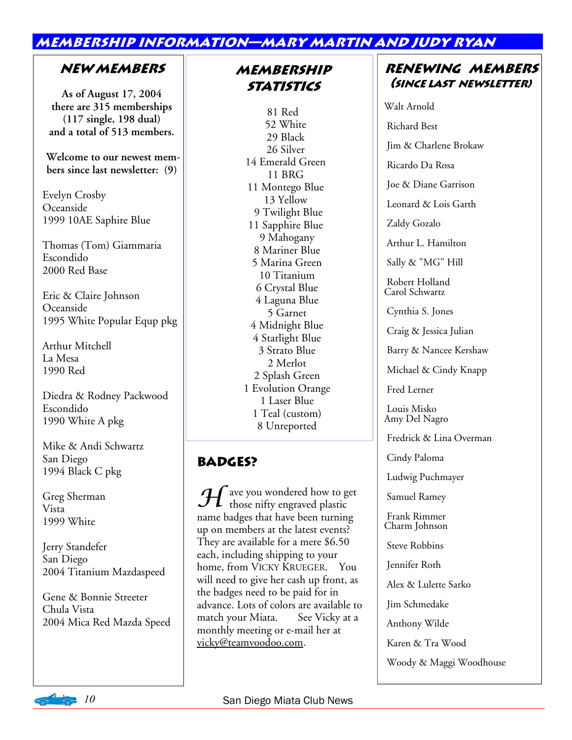### **membership information—mary martin and judy ryan**

#### **New Members**

**As of August 17, 2004 there are 315 memberships (117 single, 198 dual) and a total of 513 members.** 

**Welcome to our newest members since last newsletter: (9)** 

Evelyn Crosby **Oceanside** 1999 10AE Saphire Blue

Thomas (Tom) Giammaria Escondido 2000 Red Base

Eric & Claire Johnson Oceanside 1995 White Popular Equp pkg

Arthur Mitchell La Mesa 1990 Red

Diedra & Rodney Packwood Escondido 1990 White A pkg

Mike & Andi Schwartz San Diego 1994 Black C pkg

Greg Sherman Vista 1999 White

Jerry Standefer San Diego 2004 Titanium Mazdaspeed

Gene & Bonnie Streeter Chula Vista 2004 Mica Red Mazda Speed

### **Membership Statistics**

81 Red 52 White 29 Black 26 Silver 14 Emerald Green 11 BRG 11 Montego Blue 13 Yellow 9 Twilight Blue 11 Sapphire Blue 9 Mahogany 8 Mariner Blue 5 Marina Green 10 Titanium 6 Crystal Blue 4 Laguna Blue 5 Garnet 4 Midnight Blue 4 Starlight Blue 3 Strato Blue 2 Merlot 2 Splash Green 1 Evolution Orange 1 Laser Blue 1 Teal (custom) 8 Unreported

### **Badges?**

 ${\mathcal H}$  ave you wondered how to get<br>those nifty engraved plastic name badges that have been turning up on members at the latest events? They are available for a mere \$6.50 each, including shipping to your home, from VICKY KRUEGER. You will need to give her cash up front, as the badges need to be paid for in advance. Lots of colors are available to match your Miata. See Vicky at a monthly meeting or e-mail her at vicky@teamvoodoo.com.

### **Renewing members (since last newsletter)**

Walt Arnold Richard Best Jim & Charlene Brokaw Ricardo Da Rosa Joe & Diane Garrison Leonard & Lois Garth Zaldy Gozalo Arthur L. Hamilton Sally & "MG" Hill Robert Holland Carol Schwartz Cynthia S. Jones Craig & Jessica Julian Barry & Nancee Kershaw Michael & Cindy Knapp

Fred Lerner

 Louis Misko Amy Del Nagro

Fredrick & Lina Overman

Cindy Paloma

Ludwig Puchmayer

Samuel Ramey

 Frank Rimmer Charm Johnson

Steve Robbins

Jennifer Roth

Alex & Lulette Sarko

Jim Schmedake

Anthony Wilde

Karen & Tra Wood

Woody & Maggi Woodhouse

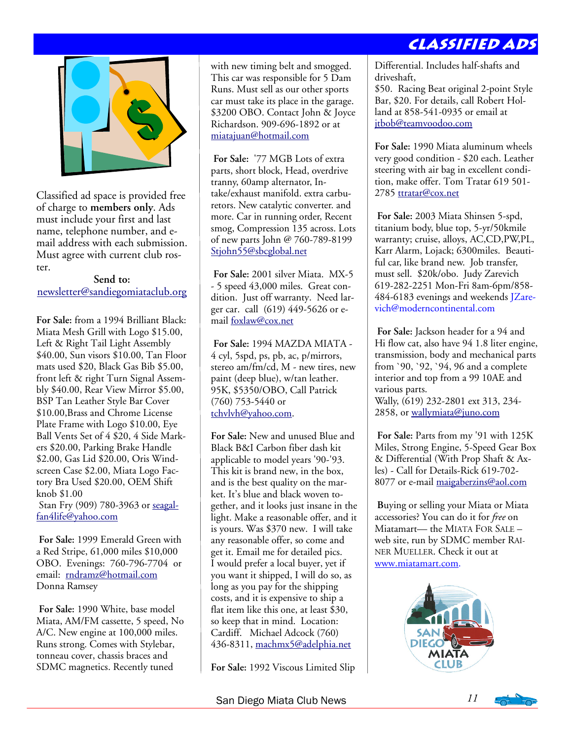# **Classified Ads**



Classified ad space is provided free of charge to **members only**. Ads must include your first and last name, telephone number, and email address with each submission. Must agree with current club roster.

**Send to:**  newsletter@sandiegomiataclub.org

**For Sale:** from a 1994 Brilliant Black: Miata Mesh Grill with Logo \$15.00, Left & Right Tail Light Assembly \$40.00, Sun visors \$10.00, Tan Floor mats used \$20, Black Gas Bib \$5.00, front left & right Turn Signal Assembly \$40.00, Rear View Mirror \$5.00, BSP Tan Leather Style Bar Cover \$10.00,Brass and Chrome License Plate Frame with Logo \$10.00, Eye Ball Vents Set of 4 \$20, 4 Side Markers \$20.00, Parking Brake Handle \$2.00, Gas Lid \$20.00, Oris Windscreen Case \$2.00, Miata Logo Factory Bra Used \$20.00, OEM Shift knob \$1.00 Stan Fry (909) 780-3963 or seagalfan4life@yahoo.com

**For Sale:** 1999 Emerald Green with a Red Stripe, 61,000 miles \$10,000 OBO. Evenings: 760-796-7704 or email: rndramz@hotmail.com Donna Ramsey

**For Sale:** 1990 White, base model Miata, AM/FM cassette, 5 speed, No A/C. New engine at 100,000 miles. Runs strong. Comes with Stylebar, tonneau cover, chassis braces and SDMC magnetics. Recently tuned

with new timing belt and smogged. This car was responsible for 5 Dam Runs. Must sell as our other sports car must take its place in the garage. \$3200 OBO. Contact John & Joyce Richardson. 909-696-1892 or at miatajuan@hotmail.com

**For Sale:** '77 MGB Lots of extra parts, short block, Head, overdrive tranny, 60amp alternator, Intake/exhaust manifold. extra carburetors. New catalytic converter. and more. Car in running order, Recent smog, Compression 135 across. Lots of new parts John @ 760-789-8199 Stjohn55@sbcglobal.net

**For Sale:** 2001 silver Miata. MX-5 - 5 speed 43,000 miles. Great condition. Just off warranty. Need larger car. call (619) 449-5626 or email foxlaw@cox.net

**For Sale:** 1994 MAZDA MIATA - 4 cyl, 5spd, ps, pb, ac, p/mirrors, stereo am/fm/cd, M - new tires, new paint (deep blue), w/tan leather. 95K, \$5350/OBO, Call Patrick (760) 753-5440 or tchvlvh@yahoo.com.

**For Sale:** New and unused Blue and Black B&I Carbon fiber dash kit applicable to model years '90-'93. This kit is brand new, in the box, and is the best quality on the market. It's blue and black woven together, and it looks just insane in the light. Make a reasonable offer, and it is yours. Was \$370 new. I will take any reasonable offer, so come and get it. Email me for detailed pics. I would prefer a local buyer, yet if you want it shipped, I will do so, as long as you pay for the shipping costs, and it is expensive to ship a flat item like this one, at least \$30, so keep that in mind. Location: Cardiff. Michael Adcock (760) 436-8311, machmx5@adelphia.net

**For Sale:** 1992 Viscous Limited Slip

Differential. Includes half-shafts and driveshaft,

\$50. Racing Beat original 2-point Style Bar, \$20. For details, call Robert Holland at 858-541-0935 or email at jtbob@teamvoodoo.com

**For Sale:** 1990 Miata aluminum wheels very good condition - \$20 each. Leather steering with air bag in excellent condition, make offer. Tom Tratar 619 501- 2785 ttratar@cox.net

**For Sale:** 2003 Miata Shinsen 5-spd, titanium body, blue top, 5-yr/50kmile warranty; cruise, alloys, AC,CD,PW,PL, Karr Alarm, Lojack; 6300miles. Beautiful car, like brand new. Job transfer, must sell. \$20k/obo. Judy Zarevich 619-282-2251 Mon-Fri 8am-6pm/858- 484-6183 evenings and weekends JZarevich@moderncontinental.com

**For Sale:** Jackson header for a 94 and Hi flow cat, also have 94 1.8 liter engine, transmission, body and mechanical parts from `90, `92, `94, 96 and a complete interior and top from a 99 10AE and various parts. Wally, (619) 232-2801 ext 313, 234-

2858, or wallymiata@juno.com

**For Sale:** Parts from my '91 with 125K Miles, Strong Engine, 5-Speed Gear Box & Differential (With Prop Shaft & Axles) - Call for Details-Rick 619-702- 8077 or e-mail maigaberzins@aol.com

**B**uying or selling your Miata or Miata accessories? You can do it for *free* on Miatamart— the MIATA FOR SALE – web site, run by SDMC member RAI-NER MUELLER. Check it out at www.miatamart.com.